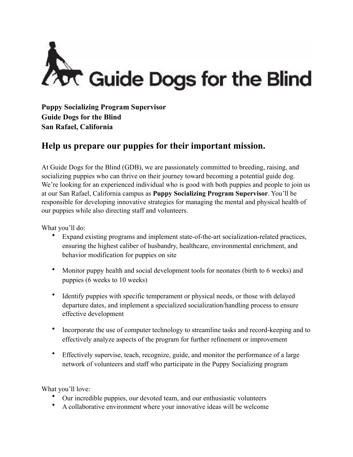

**Puppy Socializing Program Supervisor Guide Dogs for the Blind San Rafael, California** 

## **Help us prepare our puppies for their important mission.**

At Guide Dogs for the Blind (GDB), we are passionately committed to breeding, raising, and socializing puppies who can thrive on their journey toward becoming a potential guide dog. We're looking for an experienced individual who is good with both puppies and people to join us at our San Rafael, California campus as **Puppy Socializing Program Supervisor**. You'll be responsible for developing innovative strategies for managing the mental and physical health of our puppies while also directing staff and volunteers.

What you'll do:

- Expand existing programs and implement state-of-the-art socialization-related practices, ensuring the highest caliber of husbandry, healthcare, environmental enrichment, and behavior modification for puppies on site
- Monitor puppy health and social development tools for neonates (birth to 6 weeks) and puppies (6 weeks to 10 weeks)
- Identify puppies with specific temperament or physical needs, or those with delayed departure dates, and implement a specialized socialization/handling process to ensure effective development
- Incorporate the use of computer technology to streamline tasks and record-keeping and to effectively analyze aspects of the program for further refinement or improvement
- Effectively supervise, teach, recognize, guide, and monitor the performance of a large network of volunteers and staff who participate in the Puppy Socializing program

What you'll love:

- Our incredible puppies, our devoted team, and our enthusiastic volunteers
- A collaborative environment where your innovative ideas will be welcome